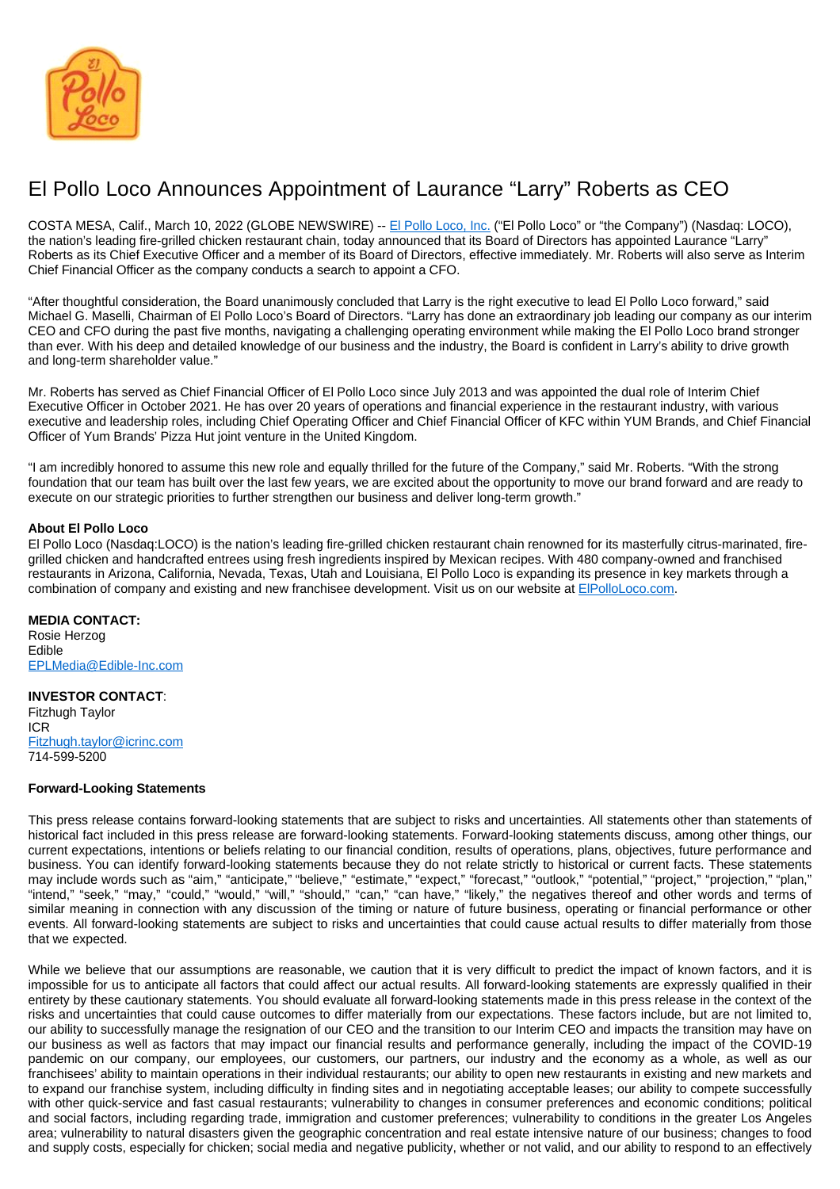

## El Pollo Loco Announces Appointment of Laurance "Larry" Roberts as CEO

COSTA MESA, Calif., March 10, 2022 (GLOBE NEWSWIRE) -- [El Pollo Loco, Inc.](https://www.elpolloloco.com/) ("El Pollo Loco" or "the Company") (Nasdaq: LOCO), the nation's leading fire-grilled chicken restaurant chain, today announced that its Board of Directors has appointed Laurance "Larry" Roberts as its Chief Executive Officer and a member of its Board of Directors, effective immediately. Mr. Roberts will also serve as Interim Chief Financial Officer as the company conducts a search to appoint a CFO.

"After thoughtful consideration, the Board unanimously concluded that Larry is the right executive to lead El Pollo Loco forward," said Michael G. Maselli, Chairman of El Pollo Loco's Board of Directors. "Larry has done an extraordinary job leading our company as our interim CEO and CFO during the past five months, navigating a challenging operating environment while making the El Pollo Loco brand stronger than ever. With his deep and detailed knowledge of our business and the industry, the Board is confident in Larry's ability to drive growth and long-term shareholder value."

Mr. Roberts has served as Chief Financial Officer of El Pollo Loco since July 2013 and was appointed the dual role of Interim Chief Executive Officer in October 2021. He has over 20 years of operations and financial experience in the restaurant industry, with various executive and leadership roles, including Chief Operating Officer and Chief Financial Officer of KFC within YUM Brands, and Chief Financial Officer of Yum Brands' Pizza Hut joint venture in the United Kingdom.

"I am incredibly honored to assume this new role and equally thrilled for the future of the Company," said Mr. Roberts. "With the strong foundation that our team has built over the last few years, we are excited about the opportunity to move our brand forward and are ready to execute on our strategic priorities to further strengthen our business and deliver long-term growth."

## **About El Pollo Loco**

El Pollo Loco (Nasdaq:LOCO) is the nation's leading fire-grilled chicken restaurant chain renowned for its masterfully citrus-marinated, firegrilled chicken and handcrafted entrees using fresh ingredients inspired by Mexican recipes. With 480 company-owned and franchised restaurants in Arizona, California, Nevada, Texas, Utah and Louisiana, El Pollo Loco is expanding its presence in key markets through a combination of company and existing and new franchisee development. Visit us on our website at [ElPolloLoco.com.](http://www.elpolloloco.com/)

**MEDIA CONTACT:** Rosie Herzog Edible [EPLMedia@Edible-Inc.com](mailto:EPLMedia@Edible-Inc.com) 

## **INVESTOR CONTACT**:

Fitzhugh Taylor ICR [Fitzhugh.taylor@icrinc.com](mailto:Fitzhugh.taylor@icrinc.com) 714-599-5200

## **Forward-Looking Statements**

This press release contains forward-looking statements that are subject to risks and uncertainties. All statements other than statements of historical fact included in this press release are forward-looking statements. Forward-looking statements discuss, among other things, our current expectations, intentions or beliefs relating to our financial condition, results of operations, plans, objectives, future performance and business. You can identify forward-looking statements because they do not relate strictly to historical or current facts. These statements may include words such as "aim," "anticipate," "believe," "estimate," "expect," "forecast," "outlook," "potential," "project," "projection," "plan," "intend," "seek," "may," "could," "would," "will," "should," "can," "can have," "likely," the negatives thereof and other words and terms of similar meaning in connection with any discussion of the timing or nature of future business, operating or financial performance or other events. All forward-looking statements are subject to risks and uncertainties that could cause actual results to differ materially from those that we expected.

While we believe that our assumptions are reasonable, we caution that it is very difficult to predict the impact of known factors, and it is impossible for us to anticipate all factors that could affect our actual results. All forward-looking statements are expressly qualified in their entirety by these cautionary statements. You should evaluate all forward-looking statements made in this press release in the context of the risks and uncertainties that could cause outcomes to differ materially from our expectations. These factors include, but are not limited to, our ability to successfully manage the resignation of our CEO and the transition to our Interim CEO and impacts the transition may have on our business as well as factors that may impact our financial results and performance generally, including the impact of the COVID-19 pandemic on our company, our employees, our customers, our partners, our industry and the economy as a whole, as well as our franchisees' ability to maintain operations in their individual restaurants; our ability to open new restaurants in existing and new markets and to expand our franchise system, including difficulty in finding sites and in negotiating acceptable leases; our ability to compete successfully with other quick-service and fast casual restaurants; vulnerability to changes in consumer preferences and economic conditions; political and social factors, including regarding trade, immigration and customer preferences; vulnerability to conditions in the greater Los Angeles area; vulnerability to natural disasters given the geographic concentration and real estate intensive nature of our business; changes to food and supply costs, especially for chicken; social media and negative publicity, whether or not valid, and our ability to respond to an effectively